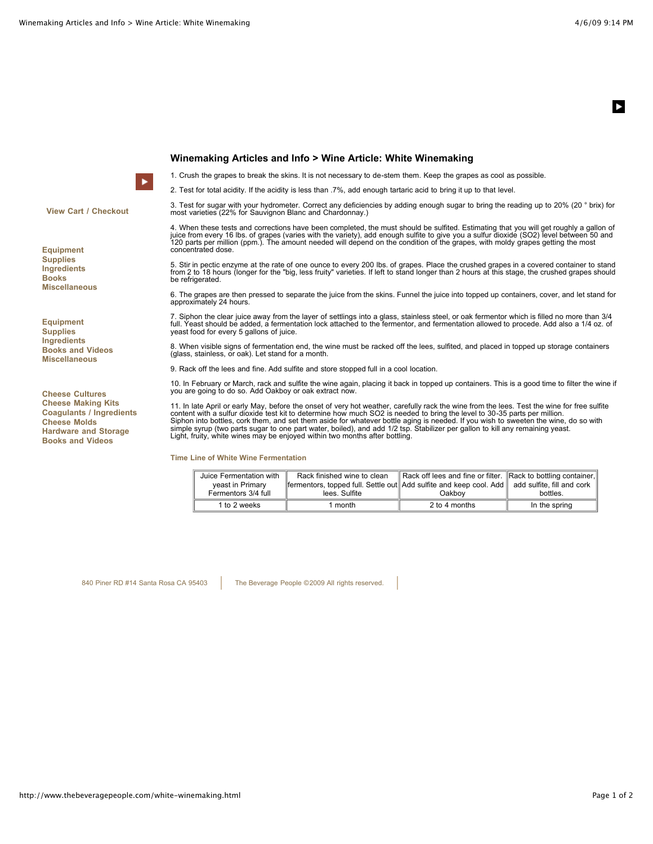ь

**View Cart / Checkout**

**Equipment Supplies Ingredients Books Miscellaneous**

**Equipment Supplies Ingredients Books and Videos Miscellaneous**

**Cheese Cultures Cheese Making Kits Coagulants / Ingredients Cheese Molds Hardware and Storage Books and Videos**

## **Winemaking Articles and Info > Wine Article: White Winemaking**

1. Crush the grapes to break the skins. It is not necessary to de-stem them. Keep the grapes as cool as possible.

2. Test for total acidity. If the acidity is less than .7%, add enough tartaric acid to bring it up to that level.

3. Test for sugar with your hydrometer. Correct any deficiencies by adding enough sugar to bring the reading up to 20% (20 ° brix) for most varieties (22% for Sauvignon Blanc and Chardonnay.)

4. When these tests and corrections have been completed, the must should be sulfited. Estimating that you will get roughly a gallon of<br>juice from every 16 lbs. of grapes (varies with the variety), add enough sulfite to giv concentrated dose.

5. Stir in pectic enzyme at the rate of one ounce to every 200 lbs. of grapes. Place the crushed grapes in a covered container to stand from 2 to 18 hours (longer for the "big, less fruity" varieties. If left to stand longer than 2 hours at this stage, the crushed grapes should be refrigerated.

6. The grapes are then pressed to separate the juice from the skins. Funnel the juice into topped up containers, cover, and let stand for approximately 24 hours.

7. Siphon the clear juice away from the layer of settlings into a glass, stainless steel, or oak fermentor which is filled no more than 3/4<br>full. Yeast should be added, a fermentation lock attached to the fermentor, and fe yeast food for every 5 gallons of juice.

8. When visible signs of fermentation end, the wine must be racked off the lees, sulfited, and placed in topped up storage containers (glass, stainless, or oak). Let stand for a month.

9. Rack off the lees and fine. Add sulfite and store stopped full in a cool location.

10. In February or March, rack and sulfite the wine again, placing it back in topped up containers. This is a good time to filter the wine if you are going to do so. Add Oakboy or oak extract now.

11. In late April or early May, before the onset of very hot weather, carefully rack the wine from the lees. Test the wine for free sulfite content with a sulfur dioxide test kit to determine how much SO2 is needed to bring the level to 30-35 parts per million. Siphon into bottles, cork them, and set them aside for whatever bottle aging is needed. If you wish to sweeten the wine, do so with<br>simple syrup (two parts sugar to one part water, boiled), and add 1/2 tsp. Stabilizer per Light, fruity, white wines may be enjoyed within two months after bottling.

**Time Line of White Wine Fermentation**

| Juice Fermentation with<br>veast in Primary<br>Fermentors 3/4 full | Rack finished wine to clean<br>fermentors, topped full. Settle out Add sulfite and keep cool. Add add sulfite, fill and cork<br>lees. Sulfite | Rack off lees and fine or filter. Rack to bottling container,<br>Oakbov | bottles. |
|--------------------------------------------------------------------|-----------------------------------------------------------------------------------------------------------------------------------------------|-------------------------------------------------------------------------|----------|

840 Piner RD #14 Santa Rosa CA 95403 The Beverage People ©2009 All rights reserved.